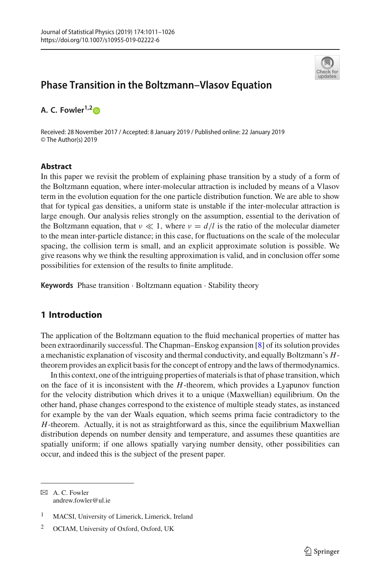

# **Phase Transition in the Boltzmann–Vlasov Equation**

**A. C. Fowler1,[2](http://orcid.org/0000-0002-2062-6372)**

Received: 28 November 2017 / Accepted: 8 January 2019 / Published online: 22 January 2019 © The Author(s) 2019

## **Abstract**

In this paper we revisit the problem of explaining phase transition by a study of a form of the Boltzmann equation, where inter-molecular attraction is included by means of a Vlasov term in the evolution equation for the one particle distribution function. We are able to show that for typical gas densities, a uniform state is unstable if the inter-molecular attraction is large enough. Our analysis relies strongly on the assumption, essential to the derivation of the Boltzmann equation, that  $\nu \ll 1$ , where  $\nu = d/l$  is the ratio of the molecular diameter to the mean inter-particle distance; in this case, for fluctuations on the scale of the molecular spacing, the collision term is small, and an explicit approximate solution is possible. We give reasons why we think the resulting approximation is valid, and in conclusion offer some possibilities for extension of the results to finite amplitude.

**Keywords** Phase transition · Boltzmann equation · Stability theory

# **1 Introduction**

The application of the Boltzmann equation to the fluid mechanical properties of matter has been extraordinarily successful. The Chapman–Enskog expansion [\[8](#page-15-0)] of its solution provides a mechanistic explanation of viscosity and thermal conductivity, and equally Boltzmann's *H*theorem provides an explicit basis for the concept of entropy and the laws of thermodynamics.

In this context, one of the intriguing properties of materials is that of phase transition, which on the face of it is inconsistent with the *H*-theorem, which provides a Lyapunov function for the velocity distribution which drives it to a unique (Maxwellian) equilibrium. On the other hand, phase changes correspond to the existence of multiple steady states, as instanced for example by the van der Waals equation, which seems prima facie contradictory to the *H*-theorem. Actually, it is not as straightforward as this, since the equilibrium Maxwellian distribution depends on number density and temperature, and assumes these quantities are spatially uniform; if one allows spatially varying number density, other possibilities can occur, and indeed this is the subject of the present paper.

 $\boxtimes$  A. C. Fowler andrew.fowler@ul.ie

<sup>1</sup> MACSI, University of Limerick, Limerick, Ireland

<sup>2</sup> OCIAM, University of Oxford, Oxford, UK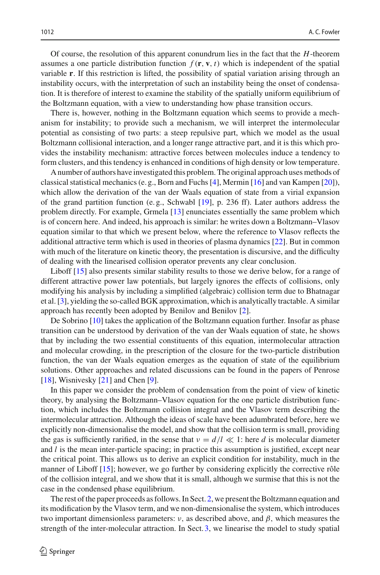Of course, the resolution of this apparent conundrum lies in the fact that the *H*-theorem assumes a one particle distribution function  $f(\mathbf{r}, \mathbf{v}, t)$  which is independent of the spatial variable **r**. If this restriction is lifted, the possibility of spatial variation arising through an instability occurs, with the interpretation of such an instability being the onset of condensation. It is therefore of interest to examine the stability of the spatially uniform equilibrium of the Boltzmann equation, with a view to understanding how phase transition occurs.

There is, however, nothing in the Boltzmann equation which seems to provide a mechanism for instability; to provide such a mechanism, we will interpret the intermolecular potential as consisting of two parts: a steep repulsive part, which we model as the usual Boltzmann collisional interaction, and a longer range attractive part, and it is this which provides the instability mechanism: attractive forces between molecules induce a tendency to form clusters, and this tendency is enhanced in conditions of high density or low temperature.

A number of authors have investigated this problem. The original approach uses methods of classical statistical mechanics (e. g., Born and Fuchs [\[4](#page-15-1)], Mermin [\[16\]](#page-15-2) and van Kampen [\[20](#page-15-3)]), which allow the derivation of the van der Waals equation of state from a virial expansion of the grand partition function (e. g., Schwabl [\[19](#page-15-4)], p. 236 ff). Later authors address the problem directly. For example, Grmela [\[13\]](#page-15-5) enunciates essentially the same problem which is of concern here. And indeed, his approach is similar: he writes down a Boltzmann–Vlasov equation similar to that which we present below, where the reference to Vlasov reflects the additional attractive term which is used in theories of plasma dynamics [\[22](#page-15-6)]. But in common with much of the literature on kinetic theory, the presentation is discursive, and the difficulty of dealing with the linearised collision operator prevents any clear conclusion.

Liboff [\[15\]](#page-15-7) also presents similar stability results to those we derive below, for a range of different attractive power law potentials, but largely ignores the effects of collisions, only modifying his analysis by including a simplified (algebraic) collision term due to Bhatnagar et al. [\[3](#page-15-8)], yielding the so-called BGK approximation, which is analytically tractable. A similar approach has recently been adopted by Benilov and Benilov [\[2\]](#page-15-9).

De Sobrino [\[10](#page-15-10)] takes the application of the Boltzmann equation further. Insofar as phase transition can be understood by derivation of the van der Waals equation of state, he shows that by including the two essential constituents of this equation, intermolecular attraction and molecular crowding, in the prescription of the closure for the two-particle distribution function, the van der Waals equation emerges as the equation of state of the equilibrium solutions. Other approaches and related discussions can be found in the papers of Penrose [\[18\]](#page-15-11), Wisnivesky [\[21](#page-15-12)] and Chen [\[9](#page-15-13)].

In this paper we consider the problem of condensation from the point of view of kinetic theory, by analysing the Boltzmann–Vlasov equation for the one particle distribution function, which includes the Boltzmann collision integral and the Vlasov term describing the intermolecular attraction. Although the ideas of scale have been adumbrated before, here we explicitly non-dimensionalise the model, and show that the collision term is small, providing the gas is sufficiently rarified, in the sense that  $\nu = d/l \ll 1$ : here *d* is molecular diameter and *l* is the mean inter-particle spacing; in practice this assumption is justified, except near the critical point. This allows us to derive an explicit condition for instability, much in the manner of Liboff [\[15\]](#page-15-7); however, we go further by considering explicitly the corrective rôle of the collision integral, and we show that it is small, although we surmise that this is not the case in the condensed phase equilibrium.

The rest of the paper proceeds as follows. In Sect. [2,](#page-2-0) we present the Boltzmann equation and its modification by the Vlasov term, and we non-dimensionalise the system, which introduces two important dimensionless parameters:  $\nu$ , as described above, and  $\beta$ , which measures the strength of the inter-molecular attraction. In Sect. [3,](#page-5-0) we linearise the model to study spatial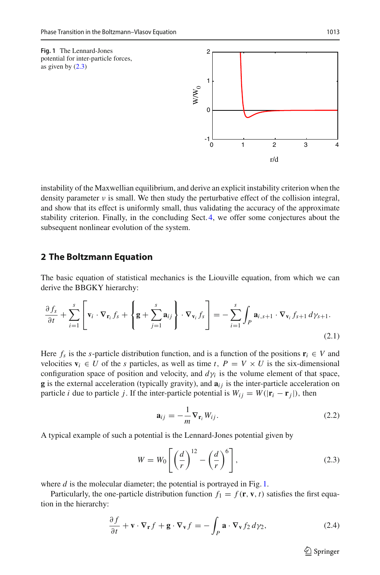<span id="page-2-2"></span>



instability of the Maxwellian equilibrium, and derive an explicit instability criterion when the density parameter  $\nu$  is small. We then study the perturbative effect of the collision integral, and show that its effect is uniformly small, thus validating the accuracy of the approximate stability criterion. Finally, in the concluding Sect. [4,](#page-13-0) we offer some conjectures about the subsequent nonlinear evolution of the system.

## <span id="page-2-0"></span>**2 The Boltzmann Equation**

The basic equation of statistical mechanics is the Liouville equation, from which we can derive the BBGKY hierarchy:

$$
\frac{\partial f_s}{\partial t} + \sum_{i=1}^s \left[ \mathbf{v}_i \cdot \nabla_{\mathbf{r}_i} f_s + \left\{ \mathbf{g} + \sum_{j=1}^s \mathbf{a}_{ij} \right\} \cdot \nabla_{\mathbf{v}_i} f_s \right] = - \sum_{i=1}^s \int_P \mathbf{a}_{i,s+1} \cdot \nabla_{\mathbf{v}_i} f_{s+1} d\gamma_{s+1}.
$$
\n(2.1)

Here  $f_s$  is the *s*-particle distribution function, and is a function of the positions  $\mathbf{r}_i \in V$  and velocities  $\mathbf{v}_i \in U$  of the *s* particles, as well as time *t*,  $P = V \times U$  is the six-dimensional configuration space of position and velocity, and  $d\gamma$ *i* is the volume element of that space, **g** is the external acceleration (typically gravity), and  $a_{ij}$  is the inter-particle acceleration on particle *i* due to particle *j*. If the inter-particle potential is  $W_{ij} = W(|\mathbf{r}_i - \mathbf{r}_j|)$ , then

<span id="page-2-3"></span>
$$
\mathbf{a}_{ij} = -\frac{1}{m} \nabla_{\mathbf{r}_i} W_{ij}.
$$
 (2.2)

A typical example of such a potential is the Lennard-Jones potential given by

<span id="page-2-1"></span>
$$
W = W_0 \left[ \left( \frac{d}{r} \right)^{12} - \left( \frac{d}{r} \right)^6 \right],\tag{2.3}
$$

where *d* is the molecular diameter; the potential is portrayed in Fig. [1.](#page-2-2)

Particularly, the one-particle distribution function  $f_1 = f(\mathbf{r}, \mathbf{v}, t)$  satisfies the first equation in the hierarchy:

$$
\frac{\partial f}{\partial t} + \mathbf{v} \cdot \nabla_{\mathbf{r}} f + \mathbf{g} \cdot \nabla_{\mathbf{v}} f = -\int_{P} \mathbf{a} \cdot \nabla_{\mathbf{v}} f_2 \, d\gamma_2,\tag{2.4}
$$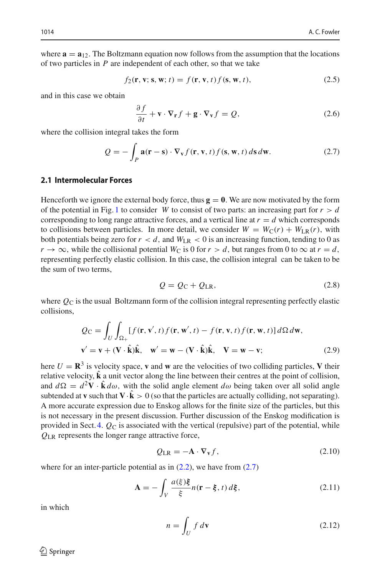where  $\mathbf{a} = \mathbf{a}_{12}$ . The Boltzmann equation now follows from the assumption that the locations of two particles in *P* are independent of each other, so that we take

<span id="page-3-4"></span>
$$
f_2(\mathbf{r}, \mathbf{v}; \mathbf{s}, \mathbf{w}; t) = f(\mathbf{r}, \mathbf{v}, t) f(\mathbf{s}, \mathbf{w}, t), \tag{2.5}
$$

and in this case we obtain

<span id="page-3-3"></span>
$$
\frac{\partial f}{\partial t} + \mathbf{v} \cdot \nabla_{\mathbf{r}} f + \mathbf{g} \cdot \nabla_{\mathbf{v}} f = Q,
$$
\n(2.6)

where the collision integral takes the form

<span id="page-3-0"></span>
$$
Q = -\int_{P} \mathbf{a}(\mathbf{r} - \mathbf{s}) \cdot \nabla_{\mathbf{v}} f(\mathbf{r}, \mathbf{v}, t) f(\mathbf{s}, \mathbf{w}, t) \, d\mathbf{s} \, d\mathbf{w}.
$$
 (2.7)

#### **2.1 Intermolecular Forces**

Henceforth we ignore the external body force, thus  $g = 0$ . We are now motivated by the form of the potential in Fig. [1](#page-2-2) to consider *W* to consist of two parts: an increasing part for  $r > d$ corresponding to long range attractive forces, and a vertical line at  $r = d$  which corresponds to collisions between particles. In more detail, we consider  $W = W_C(r) + W_{LR}(r)$ , with both potentials being zero for  $r < d$ , and  $W_{LR} < 0$  is an increasing function, tending to 0 as  $r \rightarrow \infty$ , while the collisional potential  $W_C$  is 0 for  $r > d$ , but ranges from 0 to  $\infty$  at  $r = d$ , representing perfectly elastic collision. In this case, the collision integral can be taken to be the sum of two terms,

$$
Q = Q_C + Q_{LR},\tag{2.8}
$$

where  $Q_C$  is the usual Boltzmann form of the collision integral representing perfectly elastic collisions,

<span id="page-3-2"></span>
$$
Q_{\mathbf{C}} = \int_{U} \int_{\Omega_{+}} [f(\mathbf{r}, \mathbf{v}', t) f(\mathbf{r}, \mathbf{w}', t) - f(\mathbf{r}, \mathbf{v}, t) f(\mathbf{r}, \mathbf{w}, t)] d\Omega d\mathbf{w},
$$
  

$$
\mathbf{v}' = \mathbf{v} + (\mathbf{V} \cdot \hat{\mathbf{k}}) \hat{\mathbf{k}}, \quad \mathbf{w}' = \mathbf{w} - (\mathbf{V} \cdot \hat{\mathbf{k}}) \hat{\mathbf{k}}, \quad \mathbf{V} = \mathbf{w} - \mathbf{v};
$$
 (2.9)

here  $U = \mathbb{R}^3$  is velocity space, **v** and **w** are the velocities of two colliding particles, **V** their relative velocity,  $\hat{k}$  a unit vector along the line between their centres at the point of collision, and  $d\Omega = d^2V \cdot \hat{k} d\omega$ , with the solid angle element  $d\omega$  being taken over all solid angle subtended at **v** such that  $V \cdot k > 0$  (so that the particles are actually colliding, not separating). A more accurate expression due to Enskog allows for the finite size of the particles, but this is not necessary in the present discussion. Further discussion of the Enskog modification is provided in Sect. [4.](#page-13-0) *Q*<sup>C</sup> is associated with the vertical (repulsive) part of the potential, while *Q*LR represents the longer range attractive force,

$$
Q_{LR} = -\mathbf{A} \cdot \nabla_{\mathbf{v}} f,\tag{2.10}
$$

where for an inter-particle potential as in  $(2.2)$ , we have from  $(2.7)$ 

<span id="page-3-1"></span>
$$
\mathbf{A} = -\int_{V} \frac{a(\xi)\xi}{\xi} n(\mathbf{r} - \xi, t) d\xi, \qquad (2.11)
$$

in which

$$
n = \int_{U} f \, d\mathbf{v} \tag{2.12}
$$

 $\mathcal{L}$  Springer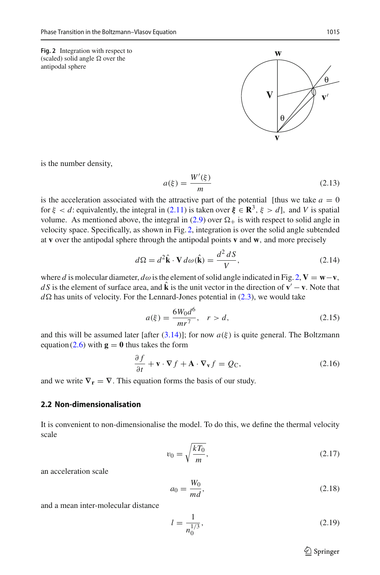<span id="page-4-0"></span>antipodal sphere



is the number density,

$$
a(\xi) = \frac{W'(\xi)}{m} \tag{2.13}
$$

is the acceleration associated with the attractive part of the potential [thus we take  $a = 0$ for  $\xi < d$ : equivalently, the integral in [\(2.11\)](#page-3-1) is taken over  $\xi \in \mathbb{R}^3$ ,  $\xi > d$ , and *V* is spatial volume. As mentioned above, the integral in [\(2.9\)](#page-3-2) over  $\Omega_{+}$  is with respect to solid angle in velocity space. Specifically, as shown in Fig. [2,](#page-4-0) integration is over the solid angle subtended at **v** over the antipodal sphere through the antipodal points **v** and **w**, and more precisely

$$
d\Omega = d^2 \hat{\mathbf{k}} \cdot \mathbf{V} d\omega(\hat{\mathbf{k}}) = \frac{d^2 dS}{V},
$$
 (2.14)

where *d* is molecular diameter,  $d\omega$  is the element of solid angle indicated in Fig. [2,](#page-4-0)  $V = w - v$ , *d S* is the element of surface area, and  $\hat{\bf k}$  is the unit vector in the direction of  ${\bf v}' - {\bf v}$ . Note that  $d\Omega$  has units of velocity. For the Lennard-Jones potential in [\(2.3\)](#page-2-1), we would take

<span id="page-4-1"></span>
$$
a(\xi) = \frac{6W_0 d^6}{mr^7}, \quad r > d,
$$
\n(2.15)

and this will be assumed later [after  $(3.14)$ ]; for now  $a(\xi)$  is quite general. The Boltzmann equation  $(2.6)$  with  $\mathbf{g} = \mathbf{0}$  thus takes the form

$$
\frac{\partial f}{\partial t} + \mathbf{v} \cdot \nabla f + \mathbf{A} \cdot \nabla_{\mathbf{v}} f = Q_{\mathbf{C}},
$$
\n(2.16)

and we write  $\nabla_{\mathbf{r}} = \nabla$ . This equation forms the basis of our study.

#### **2.2 Non-dimensionalisation**

It is convenient to non-dimensionalise the model. To do this, we define the thermal velocity scale

$$
v_0 = \sqrt{\frac{kT_0}{m}},\tag{2.17}
$$

an acceleration scale

<span id="page-4-2"></span>
$$
a_0 = \frac{W_0}{md},\tag{2.18}
$$

and a mean inter-molecular distance

$$
l = \frac{1}{n_0^{1/3}},\tag{2.19}
$$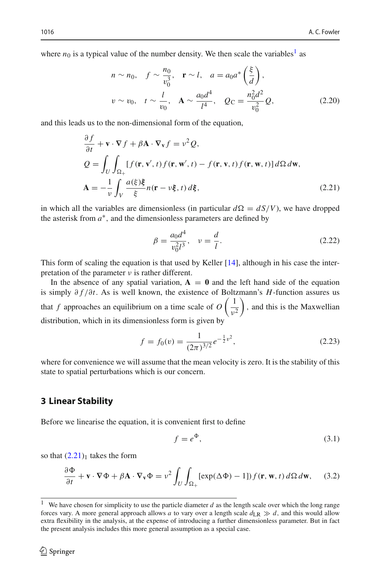where  $n_0$  is a typical value of the number density. We then scale the variables<sup>1</sup> as

<span id="page-5-4"></span>
$$
n \sim n_0, \quad f \sim \frac{n_0}{v_0^3}, \quad \mathbf{r} \sim l, \quad a = a_0 a^* \left(\frac{\xi}{d}\right),
$$
  

$$
v \sim v_0, \quad t \sim \frac{l}{v_0}, \quad \mathbf{A} \sim \frac{a_0 d^4}{l^4}, \quad Q_C = \frac{n_0^2 d^2}{v_0^2} Q,
$$
 (2.20)

and this leads us to the non-dimensional form of the equation,

<span id="page-5-2"></span>
$$
\frac{\partial f}{\partial t} + \mathbf{v} \cdot \nabla f + \beta \mathbf{A} \cdot \nabla_{\mathbf{v}} f = v^2 Q,
$$
\n
$$
Q = \int_U \int_{\Omega_+} [f(\mathbf{r}, \mathbf{v}', t) f(\mathbf{r}, \mathbf{w}', t) - f(\mathbf{r}, \mathbf{v}, t) f(\mathbf{r}, \mathbf{w}, t)] d\Omega d\mathbf{w},
$$
\n
$$
\mathbf{A} = -\frac{1}{v} \int_V \frac{a(\xi)\xi}{\xi} n(\mathbf{r} - v\xi, t) d\xi,
$$
\n(2.21)

in which all the variables are dimensionless (in particular  $d\Omega = dS/V$ ), we have dropped the asterisk from  $a^*$ , and the dimensionless parameters are defined by

$$
\beta = \frac{a_0 d^4}{v_0^2 l^3}, \quad v = \frac{d}{l}.
$$
\n(2.22)

This form of scaling the equation is that used by Keller  $[14]$ , although in his case the interpretation of the parameter  $\nu$  is rather different.

In the absence of any spatial variation,  $A = 0$  and the left hand side of the equation is simply ∂ *f* /∂*t*. As is well known, the existence of Boltzmann's *H*-function assures us that *f* approaches an equilibrium on a time scale of *O*  $\left(1\right)$  $v^2$ ), and this is the Maxwellian distribution, which in its dimensionless form is given by

$$
f = f_0(v) = \frac{1}{(2\pi)^{3/2}} e^{-\frac{1}{2}v^2},
$$
\n(2.23)

where for convenience we will assume that the mean velocity is zero. It is the stability of this state to spatial perturbations which is our concern.

### <span id="page-5-0"></span>**3 Linear Stability**

Before we linearise the equation, it is convenient first to define

$$
f = e^{\Phi}, \tag{3.1}
$$

so that  $(2.21)$ <sub>1</sub> takes the form

<span id="page-5-3"></span>
$$
\frac{\partial \Phi}{\partial t} + \mathbf{v} \cdot \nabla \Phi + \beta \mathbf{A} \cdot \nabla_{\mathbf{v}} \Phi = \nu^2 \int_U \int_{\Omega_+} [\exp(\Delta \Phi) - 1] f(\mathbf{r}, \mathbf{w}, t) \, d\Omega \, d\mathbf{w}, \tag{3.2}
$$

<span id="page-5-1"></span>We have chosen for simplicity to use the particle diameter *d* as the length scale over which the long range forces vary. A more general approach allows *a* to vary over a length scale  $d_{LR} \gg d$ , and this would allow extra flexibility in the analysis, at the expense of introducing a further dimensionless parameter. But in fact the present analysis includes this more general assumption as a special case.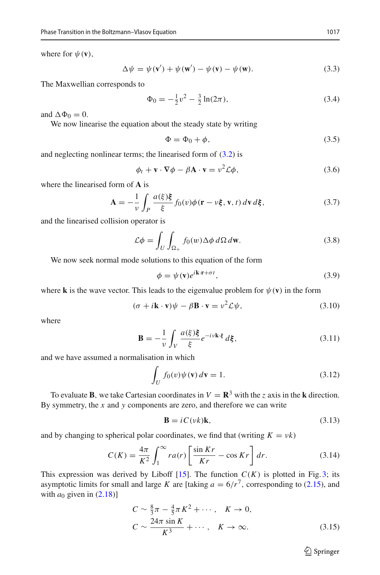where for  $\psi(\mathbf{v})$ ,

$$
\Delta \psi = \psi(\mathbf{v}') + \psi(\mathbf{w}') - \psi(\mathbf{v}) - \psi(\mathbf{w}).
$$
\n(3.3)

The Maxwellian corresponds to

$$
\Phi_0 = -\frac{1}{2}v^2 - \frac{3}{2}\ln(2\pi),\tag{3.4}
$$

and  $\Delta \Phi_0 = 0$ .

We now linearise the equation about the steady state by writing

$$
\Phi = \Phi_0 + \phi,\tag{3.5}
$$

and neglecting nonlinear terms; the linearised form of [\(3.2\)](#page-5-3) is

$$
\phi_t + \mathbf{v} \cdot \nabla \phi - \beta \mathbf{A} \cdot \mathbf{v} = v^2 \mathcal{L} \phi,
$$
\n(3.6)

where the linearised form of **A** is

$$
\mathbf{A} = -\frac{1}{\nu} \int_{P} \frac{a(\xi)\xi}{\xi} f_0(v)\phi(\mathbf{r} - \nu\xi, \mathbf{v}, t) \,d\mathbf{v} \,d\xi,\tag{3.7}
$$

and the linearised collision operator is

$$
\mathcal{L}\phi = \int_{U} \int_{\Omega_{+}} f_{0}(w) \Delta \phi \, d\Omega \, d\mathbf{w}.
$$
 (3.8)

We now seek normal mode solutions to this equation of the form

$$
\phi = \psi(\mathbf{v})e^{i\mathbf{k}\cdot\mathbf{r} + \sigma t},\tag{3.9}
$$

where **k** is the wave vector. This leads to the eigenvalue problem for  $\psi(\mathbf{v})$  in the form

<span id="page-6-2"></span>
$$
(\sigma + i\mathbf{k} \cdot \mathbf{v})\psi - \beta \mathbf{B} \cdot \mathbf{v} = v^2 \mathcal{L}\psi,
$$
 (3.10)

where

$$
\mathbf{B} = -\frac{1}{\nu} \int_{V} \frac{a(\xi)\xi}{\xi} e^{-i\nu \mathbf{k} \cdot \xi} d\xi, \tag{3.11}
$$

and we have assumed a normalisation in which

<span id="page-6-3"></span>
$$
\int_{U} f_0(v)\psi(\mathbf{v}) d\mathbf{v} = 1.
$$
\n(3.12)

To evaluate **B**, we take Cartesian coordinates in  $V = \mathbb{R}^3$  with the *z* axis in the **k** direction. By symmetry, the *x* and *y* components are zero, and therefore we can write

$$
\mathbf{B} = iC(\nu k)\mathbf{k},\tag{3.13}
$$

and by changing to spherical polar coordinates, we find that (writing  $K = vk$ )

<span id="page-6-0"></span>
$$
C(K) = \frac{4\pi}{K^2} \int_1^{\infty} r a(r) \left[ \frac{\sin Kr}{Kr} - \cos Kr \right] dr.
$$
 (3.14)

This expression was derived by Liboff  $[15]$ . The function  $C(K)$  is plotted in Fig. [3;](#page-7-0) its asymptotic limits for small and large *K* are [taking  $a = 6/r^7$ , corresponding to [\(2.15\)](#page-4-1), and with  $a_0$  given in  $(2.18)$ ]

<span id="page-6-1"></span>
$$
C \sim \frac{8}{3}\pi - \frac{4}{5}\pi K^2 + \cdots, \quad K \to 0,
$$
  
\n
$$
C \sim \frac{24\pi \sin K}{K^3} + \cdots, \quad K \to \infty.
$$
 (3.15)

 $\hat{\mathfrak{D}}$  Springer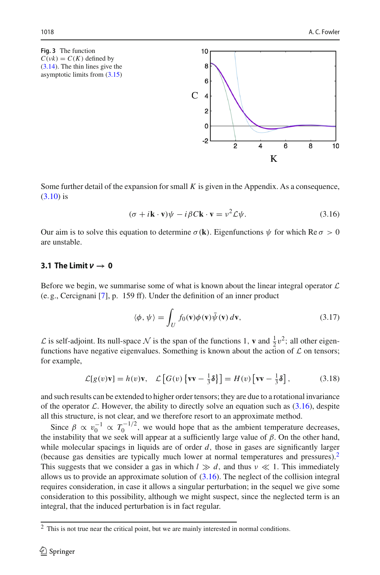<span id="page-7-0"></span>**Fig. 3** The function  $C(\nu k) = C(K)$  defined by [\(3.14\)](#page-6-0). The thin lines give the asymptotic limits from [\(3.15\)](#page-6-1)

Some further detail of the expansion for small *K* is given in the Appendix. As a consequence, [\(3.10\)](#page-6-2) is

 $10$ 8 6

 $\mathcal{C}$ 4 2 O  $-2$ 

<span id="page-7-1"></span>
$$
(\sigma + i\mathbf{k} \cdot \mathbf{v})\psi - i\beta C \mathbf{k} \cdot \mathbf{v} = v^2 \mathcal{L}\psi.
$$
 (3.16)

 $\overline{2}$ 

 $\overline{4}$ 

6

K

8

 $10$ 

Our aim is to solve this equation to determine  $\sigma(\mathbf{k})$ . Eigenfunctions  $\psi$  for which Re  $\sigma > 0$ are unstable.

# $3.1$  The Limit  $\nu \rightarrow 0$

Before we begin, we summarise some of what is known about the linear integral operator *L* (e. g., Cercignani [\[7\]](#page-15-15), p. 159 ff). Under the definition of an inner product

$$
\langle \phi, \psi \rangle = \int_{U} f_0(\mathbf{v}) \phi(\mathbf{v}) \bar{\psi}(\mathbf{v}) d\mathbf{v}, \qquad (3.17)
$$

 $\mathcal{L}$  is self-adjoint. Its null-space  $\mathcal N$  is the span of the functions 1, **v** and  $\frac{1}{2}v^2$ ; all other eigenfunctions have negative eigenvalues. Something is known about the action of  $\mathcal L$  on tensors; for example,

$$
\mathcal{L}[g(v)\mathbf{v}] = h(v)\mathbf{v}, \quad \mathcal{L}[G(v)\{\mathbf{v}\mathbf{v} - \frac{1}{3}\delta\}] = H(v)\left[\mathbf{v}\mathbf{v} - \frac{1}{3}\delta\right],\tag{3.18}
$$

and such results can be extended to higher order tensors; they are due to a rotational invariance of the operator  $\mathcal L$ . However, the ability to directly solve an equation such as [\(3.16\)](#page-7-1), despite all this structure, is not clear, and we therefore resort to an approximate method.

Since  $\beta \propto v_0^{-1} \propto T_0^{-1/2}$ , we would hope that as the ambient temperature decreases, the instability that we seek will appear at a sufficiently large value of  $\beta$ . On the other hand, while molecular spacings in liquids are of order *d*, those in gases are significantly larger (because gas densities are typically much lower at normal temperatures and pressures)[.2](#page-7-2) This suggests that we consider a gas in which  $l \gg d$ , and thus  $\nu \ll 1$ . This immediately allows us to provide an approximate solution of  $(3.16)$ . The neglect of the collision integral requires consideration, in case it allows a singular perturbation; in the sequel we give some consideration to this possibility, although we might suspect, since the neglected term is an integral, that the induced perturbation is in fact regular.

<span id="page-7-2"></span><sup>2</sup> This is not true near the critical point, but we are mainly interested in normal conditions.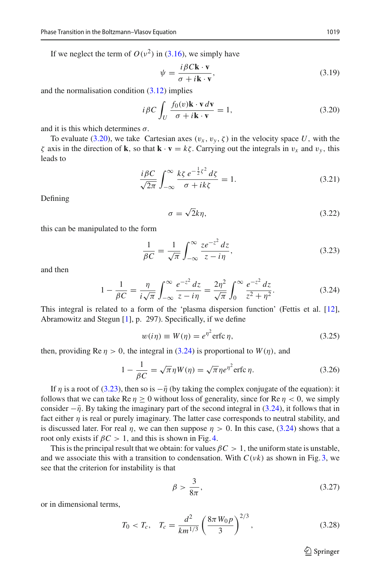If we neglect the term of  $O(v^2)$  in [\(3.16\)](#page-7-1), we simply have

<span id="page-8-4"></span>
$$
\psi = \frac{i\beta C\mathbf{k} \cdot \mathbf{v}}{\sigma + i\mathbf{k} \cdot \mathbf{v}},\tag{3.19}
$$

and the normalisation condition [\(3.12\)](#page-6-3) implies

<span id="page-8-0"></span>
$$
i\beta C \int_{U} \frac{f_0(v)\mathbf{k} \cdot \mathbf{v} \, dv}{\sigma + i\mathbf{k} \cdot \mathbf{v}} = 1,\tag{3.20}
$$

and it is this which determines  $\sigma$ .

To evaluate [\(3.20\)](#page-8-0), we take Cartesian axes  $(v_x, v_y, \zeta)$  in the velocity space U, with the ζ axis in the direction of **k**, so that **k** · **v** = *k*ζ. Carrying out the integrals in v*<sup>x</sup>* and v*<sup>y</sup>* , this leads to

$$
\frac{i\beta C}{\sqrt{2\pi}} \int_{-\infty}^{\infty} \frac{k\zeta e^{-\frac{1}{2}\zeta^2} d\zeta}{\sigma + ik\zeta} = 1.
$$
 (3.21)

Defining

<span id="page-8-5"></span>
$$
\sigma = \sqrt{2}k\eta,\tag{3.22}
$$

this can be manipulated to the form

<span id="page-8-2"></span>
$$
\frac{1}{\beta C} = \frac{1}{\sqrt{\pi}} \int_{-\infty}^{\infty} \frac{ze^{-z^2} dz}{z - i\eta},
$$
\n(3.23)

and then

<span id="page-8-1"></span>
$$
1 - \frac{1}{\beta C} = \frac{\eta}{i\sqrt{\pi}} \int_{-\infty}^{\infty} \frac{e^{-z^2} dz}{z - i\eta} = \frac{2\eta^2}{\sqrt{\pi}} \int_{0}^{\infty} \frac{e^{-z^2} dz}{z^2 + \eta^2}.
$$
 (3.24)

This integral is related to a form of the 'plasma dispersion function' (Fettis et al. [\[12\]](#page-15-16), Abramowitz and Stegun [\[1](#page-15-17)], p. 297). Specifically, if we define

<span id="page-8-6"></span>
$$
w(i\eta) \equiv W(\eta) = e^{\eta^2} \text{erfc } \eta,\tag{3.25}
$$

then, providing Re  $\eta > 0$ , the integral in [\(3.24\)](#page-8-1) is proportional to  $W(\eta)$ , and

<span id="page-8-3"></span>
$$
1 - \frac{1}{\beta C} = \sqrt{\pi} \eta W(\eta) = \sqrt{\pi} \eta e^{\eta^2} \text{erfc } \eta.
$$
 (3.26)

If  $\eta$  is a root of [\(3.23\)](#page-8-2), then so is  $-\bar{\eta}$  (by taking the complex conjugate of the equation): it follows that we can take Re  $\eta \ge 0$  without loss of generality, since for Re  $\eta < 0$ , we simply consider  $-\bar{\eta}$ . By taking the imaginary part of the second integral in [\(3.24\)](#page-8-1), it follows that in fact either  $\eta$  is real or purely imaginary. The latter case corresponds to neutral stability, and is discussed later. For real  $\eta$ , we can then suppose  $\eta > 0$ . In this case, [\(3.24\)](#page-8-1) shows that a root only exists if  $\beta C > 1$ , and this is shown in Fig. [4.](#page-9-0)

This is the principal result that we obtain: for values  $\beta C > 1$ , the uniform state is unstable, and we associate this with a transition to condensation. With  $C(\nu k)$  as shown in Fig. [3,](#page-7-0) we see that the criterion for instability is that

$$
\beta > \frac{3}{8\pi},\tag{3.27}
$$

or in dimensional terms,

$$
T_0 < T_c, \quad T_c = \frac{d^2}{km^{1/3}} \left(\frac{8\pi W_0 p}{3}\right)^{2/3},\tag{3.28}
$$

 $\hat{\mathfrak{D}}$  Springer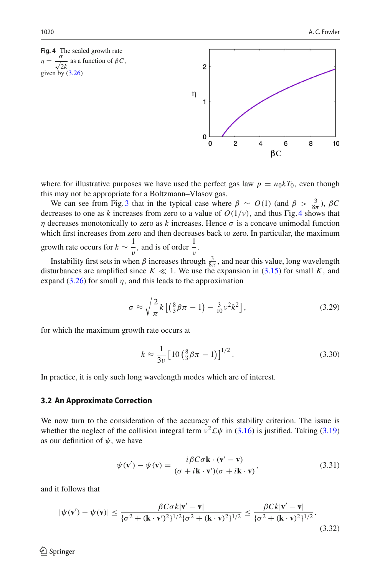<span id="page-9-0"></span>**Fig. 4** The scaled growth rate  $\eta = \frac{\sigma}{\sqrt{2}k}$  as a function of  $\beta C$ , given by  $(3.26)$ 



where for illustrative purposes we have used the perfect gas law  $p = n_0 k T_0$ , even though this may not be appropriate for a Boltzmann–Vlasov gas.

We can see from Fig. [3](#page-7-0) that in the typical case where  $\beta \sim O(1)$  (and  $\beta > \frac{3}{8\pi}$ ),  $\beta C$ decreases to one as *k* increases from zero to a value of  $O(1/\nu)$ , and thus Fig. [4](#page-9-0) shows that η decreases monotonically to zero as *k* increases. Hence σ is a concave unimodal function which first increases from zero and then decreases back to zero. In particular, the maximum growth rate occurs for  $k \sim \frac{1}{\nu}$ , and is of order  $\frac{1}{\nu}$  $\frac{1}{ν}$ .

Instability first sets in when  $\beta$  increases through  $\frac{3}{8\pi}$ , and near this value, long wavelength disturbances are amplified since  $K \ll 1$ . We use the expansion in [\(3.15\)](#page-6-1) for small *K*, and expand  $(3.26)$  for small  $\eta$ , and this leads to the approximation

$$
\sigma \approx \sqrt{\frac{2}{\pi}} k \left[ \left( \frac{8}{3} \beta \pi - 1 \right) - \frac{3}{10} \nu^2 k^2 \right],\tag{3.29}
$$

for which the maximum growth rate occurs at

$$
k \approx \frac{1}{3\nu} \left[ 10 \left( \frac{8}{3} \beta \pi - 1 \right) \right]^{1/2} . \tag{3.30}
$$

In practice, it is only such long wavelength modes which are of interest.

### **3.2 An Approximate Correction**

We now turn to the consideration of the accuracy of this stability criterion. The issue is whether the neglect of the collision integral term  $v^2 \mathcal{L} \psi$  in [\(3.16\)](#page-7-1) is justified. Taking [\(3.19\)](#page-8-4) as our definition of  $\psi$ , we have

$$
\psi(\mathbf{v}') - \psi(\mathbf{v}) = \frac{i\beta C\sigma \mathbf{k} \cdot (\mathbf{v}' - \mathbf{v})}{(\sigma + i\mathbf{k} \cdot \mathbf{v}')(\sigma + i\mathbf{k} \cdot \mathbf{v})},
$$
(3.31)

and it follows that

$$
|\psi(\mathbf{v}') - \psi(\mathbf{v})| \le \frac{\beta C \sigma k |\mathbf{v}' - \mathbf{v}|}{\{\sigma^2 + (\mathbf{k} \cdot \mathbf{v}')^2\}^{1/2} \{\sigma^2 + (\mathbf{k} \cdot \mathbf{v})^2\}^{1/2}} \le \frac{\beta C k |\mathbf{v}' - \mathbf{v}|}{\{\sigma^2 + (\mathbf{k} \cdot \mathbf{v})^2\}^{1/2}}.
$$
\n(3.32)

 $\circledcirc$  Springer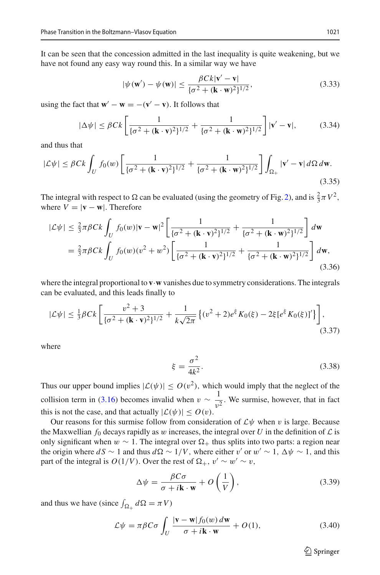It can be seen that the concession admitted in the last inequality is quite weakening, but we have not found any easy way round this. In a similar way we have

$$
|\psi(\mathbf{w}') - \psi(\mathbf{w})| \le \frac{\beta C k |\mathbf{v}' - \mathbf{v}|}{\{\sigma^2 + (\mathbf{k} \cdot \mathbf{w})^2\}^{1/2}},
$$
\n(3.33)

using the fact that  $\mathbf{w}' - \mathbf{w} = -(\mathbf{v}' - \mathbf{v})$ . It follows that

$$
|\Delta\psi| \le \beta C k \left[ \frac{1}{\{\sigma^2 + (\mathbf{k} \cdot \mathbf{v})^2\}^{1/2}} + \frac{1}{\{\sigma^2 + (\mathbf{k} \cdot \mathbf{w})^2\}^{1/2}} \right] |\mathbf{v}' - \mathbf{v}|, \tag{3.34}
$$

and thus that

$$
|\mathcal{L}\psi| \leq \beta C k \int_U f_0(w) \left[ \frac{1}{\{\sigma^2 + (\mathbf{k} \cdot \mathbf{v})^2\}^{1/2}} + \frac{1}{\{\sigma^2 + (\mathbf{k} \cdot \mathbf{w})^2\}^{1/2}} \right] \int_{\Omega_+} |\mathbf{v}' - \mathbf{v}| d\Omega d\mathbf{w}.
$$
\n(3.35)

The integral with respect to  $\Omega$  can be evaluated (using the geometry of Fig. [2\)](#page-4-0), and is  $\frac{2}{3}\pi V^2$ , where  $V = |\mathbf{v} - \mathbf{w}|$ . Therefore

$$
|\mathcal{L}\psi| \leq \frac{2}{3}\pi \beta Ck \int_U f_0(w)|\mathbf{v} - \mathbf{w}|^2 \left[ \frac{1}{\{\sigma^2 + (\mathbf{k} \cdot \mathbf{v})^2\}^{1/2}} + \frac{1}{\{\sigma^2 + (\mathbf{k} \cdot \mathbf{w})^2\}^{1/2}} \right] dw
$$
  
=  $\frac{2}{3}\pi \beta Ck \int_U f_0(w)(v^2 + w^2) \left[ \frac{1}{\{\sigma^2 + (\mathbf{k} \cdot \mathbf{v})^2\}^{1/2}} + \frac{1}{\{\sigma^2 + (\mathbf{k} \cdot \mathbf{w})^2\}^{1/2}} \right] dw,$  (3.36)

where the integral proportional to **v**·**w** vanishes due to symmetry considerations. The integrals can be evaluated, and this leads finally to

$$
|\mathcal{L}\psi| \le \frac{1}{3}\beta Ck \left[ \frac{v^2 + 3}{\{\sigma^2 + (\mathbf{k} \cdot \mathbf{v})^2\}^{1/2}} + \frac{1}{k\sqrt{2\pi}} \left\{ (v^2 + 2)e^{\xi} K_0(\xi) - 2\xi [e^{\xi} K_0(\xi)]' \right\} \right],
$$
\n(3.37)

where

$$
\xi = \frac{\sigma^2}{4k^2}.\tag{3.38}
$$

Thus our upper bound implies  $|\mathcal{L}(\psi)| \le O(v^2)$ , which would imply that the neglect of the collision term in [\(3.16\)](#page-7-1) becomes invalid when  $v \sim \frac{1}{v^2}$ . We surmise, however, that in fact this is not the case, and that actually  $|\mathcal{L}(\psi)| \le O(v)$ .

Our reasons for this surmise follow from consideration of  $\mathcal{L}\psi$  when v is large. Because the Maxwellian  $f_0$  decays rapidly as w increases, the integral over U in the definition of  $\mathcal L$  is only significant when  $w \sim 1$ . The integral over  $\Omega_+$  thus splits into two parts: a region near the origin where  $dS \sim 1$  and thus  $d\Omega \sim 1/V$ , where either v' or w' ~ 1,  $\Delta \psi \sim 1$ , and this part of the integral is  $O(1/V)$ . Over the rest of  $\Omega_+$ ,  $v' \sim w' \sim v$ ,

$$
\Delta \psi = \frac{\beta C \sigma}{\sigma + i \mathbf{k} \cdot \mathbf{w}} + O\left(\frac{1}{V}\right),\tag{3.39}
$$

and thus we have (since  $\int_{\Omega_+} d\Omega = \pi V$ )

$$
\mathcal{L}\psi = \pi \beta C \sigma \int_{U} \frac{|\mathbf{v} - \mathbf{w}| f_0(w) \, d\mathbf{w}}{\sigma + i \mathbf{k} \cdot \mathbf{w}} + O(1),\tag{3.40}
$$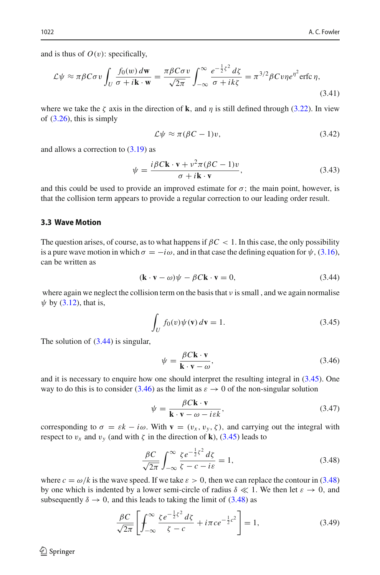and is thus of  $O(v)$ : specifically,

$$
\mathcal{L}\psi \approx \pi \beta C \sigma v \int_{U} \frac{f_{0}(w) d\mathbf{w}}{\sigma + i\mathbf{k} \cdot \mathbf{w}} = \frac{\pi \beta C \sigma v}{\sqrt{2\pi}} \int_{-\infty}^{\infty} \frac{e^{-\frac{1}{2}\zeta^{2}} d\zeta}{\sigma + i k \zeta} = \pi^{3/2} \beta C v \eta e^{\eta^{2}} \text{erfc } \eta,
$$
\n(3.41)

where we take the  $\zeta$  axis in the direction of **k**, and  $\eta$  is still defined through [\(3.22\)](#page-8-5). In view of  $(3.26)$ , this is simply

$$
\mathcal{L}\psi \approx \pi(\beta C - 1)v,\tag{3.42}
$$

and allows a correction to [\(3.19\)](#page-8-4) as

$$
\psi = \frac{i\beta C\mathbf{k}\cdot\mathbf{v} + v^2\pi(\beta C - 1)v}{\sigma + i\mathbf{k}\cdot\mathbf{v}},\tag{3.43}
$$

and this could be used to provide an improved estimate for  $\sigma$ ; the main point, however, is that the collision term appears to provide a regular correction to our leading order result.

### **3.3 Wave Motion**

The question arises, of course, as to what happens if  $\beta C < 1$ . In this case, the only possibility is a pure wave motion in which  $\sigma = -i\omega$ , and in that case the defining equation for  $\psi$ , [\(3.16\)](#page-7-1), can be written as

<span id="page-11-0"></span>
$$
(\mathbf{k} \cdot \mathbf{v} - \omega)\psi - \beta C \mathbf{k} \cdot \mathbf{v} = 0, \tag{3.44}
$$

where again we neglect the collision term on the basis that  $\nu$  is small, and we again normalise  $\psi$  by [\(3.12\)](#page-6-3), that is,

<span id="page-11-1"></span>
$$
\int_{U} f_0(v)\psi(\mathbf{v})\,d\mathbf{v} = 1.
$$
\n(3.45)

The solution of  $(3.44)$  is singular,

<span id="page-11-2"></span>
$$
\psi = \frac{\beta C \mathbf{k} \cdot \mathbf{v}}{\mathbf{k} \cdot \mathbf{v} - \omega},\tag{3.46}
$$

and it is necessary to enquire how one should interpret the resulting integral in [\(3.45\)](#page-11-1). One way to do this is to consider [\(3.46\)](#page-11-2) as the limit as  $\varepsilon \to 0$  of the non-singular solution

$$
\psi = \frac{\beta C \mathbf{k} \cdot \mathbf{v}}{\mathbf{k} \cdot \mathbf{v} - \omega - i \varepsilon k},\tag{3.47}
$$

corresponding to  $\sigma = \varepsilon k - i\omega$ . With  $\mathbf{v} = (v_x, v_y, \zeta)$ , and carrying out the integral with respect to  $v_x$  and  $v_y$  (and with  $\zeta$  in the direction of **k**), [\(3.45\)](#page-11-1) leads to

<span id="page-11-3"></span>
$$
\frac{\beta C}{\sqrt{2\pi}} \int_{-\infty}^{\infty} \frac{\zeta e^{-\frac{1}{2}\zeta^2} d\zeta}{\zeta - c - i\varepsilon} = 1,
$$
\n(3.48)

where  $c = \omega/k$  is the wave speed. If we take  $\varepsilon > 0$ , then we can replace the contour in [\(3.48\)](#page-11-3) by one which is indented by a lower semi-circle of radius  $\delta \ll 1$ . We then let  $\varepsilon \to 0$ , and subsequently  $\delta \rightarrow 0$ , and this leads to taking the limit of [\(3.48\)](#page-11-3) as

<span id="page-11-4"></span>
$$
\frac{\beta C}{\sqrt{2\pi}} \left[ \int_{-\infty}^{\infty} \frac{\zeta e^{-\frac{1}{2}\zeta^2} d\zeta}{\zeta - c} + i\pi c e^{-\frac{1}{2}c^2} \right] = 1, \tag{3.49}
$$

 $\circledcirc$  Springer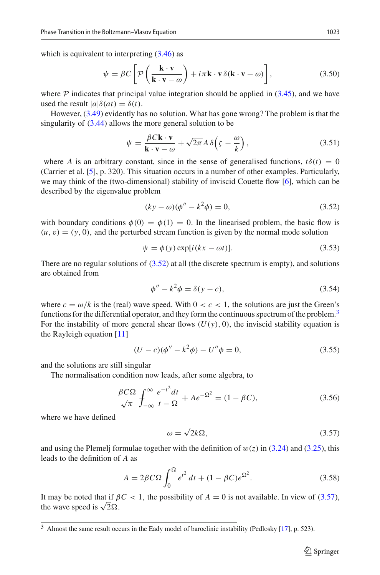which is equivalent to interpreting  $(3.46)$  as

$$
\psi = \beta C \left[ \mathcal{P} \left( \frac{\mathbf{k} \cdot \mathbf{v}}{\mathbf{k} \cdot \mathbf{v} - \omega} \right) + i \pi \mathbf{k} \cdot \mathbf{v} \, \delta(\mathbf{k} \cdot \mathbf{v} - \omega) \right],\tag{3.50}
$$

where  $P$  indicates that principal value integration should be applied in  $(3.45)$ , and we have used the result  $|a|\delta(at) = \delta(t)$ .

However, [\(3.49\)](#page-11-4) evidently has no solution. What has gone wrong? The problem is that the singularity of  $(3.44)$  allows the more general solution to be

$$
\psi = \frac{\beta C \mathbf{k} \cdot \mathbf{v}}{\mathbf{k} \cdot \mathbf{v} - \omega} + \sqrt{2\pi} A \delta \left( \zeta - \frac{\omega}{k} \right),\tag{3.51}
$$

where *A* is an arbitrary constant, since in the sense of generalised functions,  $t\delta(t) = 0$ (Carrier et al. [\[5\]](#page-15-18), p. 320). This situation occurs in a number of other examples. Particularly, we may think of the (two-dimensional) stability of inviscid Couette flow [\[6](#page-15-19)], which can be described by the eigenvalue problem

<span id="page-12-0"></span>
$$
(ky - \omega)(\phi'' - k^2 \phi) = 0,
$$
\n(3.52)

with boundary conditions  $\phi(0) = \phi(1) = 0$ . In the linearised problem, the basic flow is  $(u, v) = (y, 0)$ , and the perturbed stream function is given by the normal mode solution

$$
\psi = \phi(y) \exp[i(kx - \omega t)]. \tag{3.53}
$$

There are no regular solutions of [\(3.52\)](#page-12-0) at all (the discrete spectrum is empty), and solutions are obtained from

$$
\phi'' - k^2 \phi = \delta(y - c),\tag{3.54}
$$

where  $c = \omega/k$  is the (real) wave speed. With  $0 < c < 1$ , the solutions are just the Green's functions for the differential operator, and they form the continuous spectrum of the problem. $3$ For the instability of more general shear flows  $(U(y), 0)$ , the inviscid stability equation is the Rayleigh equation [\[11](#page-15-20)]

$$
(U - c)(\phi'' - k^2 \phi) - U''\phi = 0,
$$
\n(3.55)

and the solutions are still singular

The normalisation condition now leads, after some algebra, to

$$
\frac{\beta C\Omega}{\sqrt{\pi}}\int_{-\infty}^{\infty}\frac{e^{-t^2}dt}{t-\Omega}+Ae^{-\Omega^2}=(1-\beta C),\tag{3.56}
$$

where we have defined

<span id="page-12-2"></span>
$$
\omega = \sqrt{2}k\Omega,\tag{3.57}
$$

and using the Plemelj formulae together with the definition of  $w(z)$  in [\(3.24\)](#page-8-1) and [\(3.25\)](#page-8-6), this leads to the definition of *A* as

$$
A = 2\beta C\Omega \int_0^{\Omega} e^{t^2} dt + (1 - \beta C)e^{\Omega^2}.
$$
 (3.58)

It may be noted that if  $\beta C < 1$ , the possibility of  $A = 0$  is not available. In view of [\(3.57\)](#page-12-2), the wave speed is  $\sqrt{2\Omega}$ .

<span id="page-12-1"></span><sup>3</sup> Almost the same result occurs in the Eady model of baroclinic instability (Pedlosky [\[17](#page-15-21)], p. 523).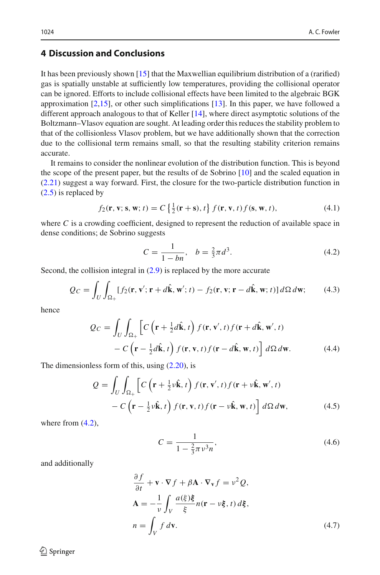## <span id="page-13-0"></span>**4 Discussion and Conclusions**

It has been previously shown [\[15\]](#page-15-7) that the Maxwellian equilibrium distribution of a (rarified) gas is spatially unstable at sufficiently low temperatures, providing the collisional operator can be ignored. Efforts to include collisional effects have been limited to the algebraic BGK approximation  $[2,15]$  $[2,15]$ , or other such simplifications  $[13]$  $[13]$ . In this paper, we have followed a different approach analogous to that of Keller [\[14](#page-15-14)], where direct asymptotic solutions of the Boltzmann–Vlasov equation are sought. At leading order this reduces the stability problem to that of the collisionless Vlasov problem, but we have additionally shown that the correction due to the collisional term remains small, so that the resulting stability criterion remains accurate.

It remains to consider the nonlinear evolution of the distribution function. This is beyond the scope of the present paper, but the results of de Sobrino [\[10](#page-15-10)] and the scaled equation in [\(2.21\)](#page-5-2) suggest a way forward. First, the closure for the two-particle distribution function in [\(2.5\)](#page-3-4) is replaced by

$$
f_2(\mathbf{r}, \mathbf{v}; \mathbf{s}, \mathbf{w}; t) = C \left\{ \frac{1}{2}(\mathbf{r} + \mathbf{s}), t \right\} f(\mathbf{r}, \mathbf{v}, t) f(\mathbf{s}, \mathbf{w}, t), \tag{4.1}
$$

where  $C$  is a crowding coefficient, designed to represent the reduction of available space in dense conditions; de Sobrino suggests

<span id="page-13-1"></span>
$$
C = \frac{1}{1 - bn}, \quad b = \frac{2}{3}\pi d^3. \tag{4.2}
$$

Second, the collision integral in  $(2.9)$  is replaced by the more accurate

$$
Q_C = \int_U \int_{\Omega_+} [f_2(\mathbf{r}, \mathbf{v}'; \mathbf{r} + d\hat{\mathbf{k}}, \mathbf{w}'; t) - f_2(\mathbf{r}, \mathbf{v}; \mathbf{r} - d\hat{\mathbf{k}}, \mathbf{w}; t)] d\Omega d\mathbf{w};\tag{4.3}
$$

hence

<span id="page-13-4"></span>
$$
Q_C = \int_U \int_{\Omega_+} \left[ C \left( \mathbf{r} + \frac{1}{2} d\hat{\mathbf{k}}, t \right) f(\mathbf{r}, \mathbf{v}', t) f(\mathbf{r} + d\hat{\mathbf{k}}, \mathbf{w}', t) - C \left( \mathbf{r} - \frac{1}{2} d\hat{\mathbf{k}}, t \right) f(\mathbf{r}, \mathbf{v}, t) f(\mathbf{r} - d\hat{\mathbf{k}}, \mathbf{w}, t) \right] d\Omega d\mathbf{w}.
$$
 (4.4)

The dimensionless form of this, using  $(2.20)$ , is

<span id="page-13-3"></span>
$$
Q = \int_{U} \int_{\Omega_{+}} \left[ C \left( \mathbf{r} + \frac{1}{2} \nu \hat{\mathbf{k}}, t \right) f(\mathbf{r}, \mathbf{v}', t) f(\mathbf{r} + \nu \hat{\mathbf{k}}, \mathbf{w}', t) - C \left( \mathbf{r} - \frac{1}{2} \nu \hat{\mathbf{k}}, t \right) f(\mathbf{r}, \mathbf{v}, t) f(\mathbf{r} - \nu \hat{\mathbf{k}}, \mathbf{w}, t) \right] d\Omega d\mathbf{w},
$$
(4.5)

where from  $(4.2)$ ,

$$
C = \frac{1}{1 - \frac{2}{3}\pi v^3 n},\tag{4.6}
$$

and additionally

<span id="page-13-2"></span>
$$
\frac{\partial f}{\partial t} + \mathbf{v} \cdot \nabla f + \beta \mathbf{A} \cdot \nabla_{\mathbf{v}} f = v^2 Q,
$$
  
\n
$$
\mathbf{A} = -\frac{1}{v} \int_{V} \frac{a(\xi)\xi}{\xi} n(\mathbf{r} - v\xi, t) d\xi,
$$
  
\n
$$
n = \int_{V} f d\mathbf{v}.
$$
\n(4.7)

 $\circledcirc$  Springer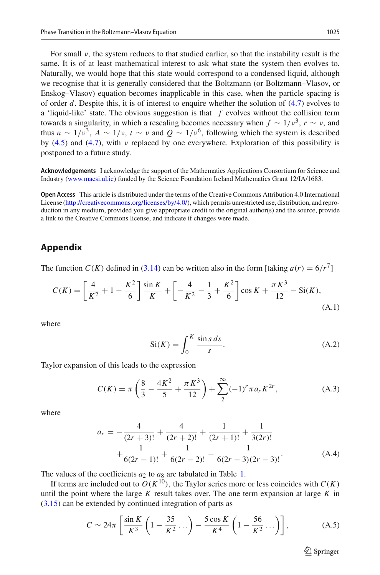Enskog–Vlasov) equation becomes inapplicable in this case, when the particle spacing is of order *d*. Despite this, it is of interest to enquire whether the solution of [\(4.7\)](#page-13-2) evolves to a 'liquid-like' state. The obvious suggestion is that *f* evolves without the collision term towards a singularity, in which a rescaling becomes necessary when  $f \sim 1/v^3$ ,  $r \sim v$ , and thus  $n \sim 1/v^3$ ,  $A \sim 1/v$ ,  $t \sim v$  and  $Q \sim 1/v^6$ , following which the system is described by  $(4.5)$  and  $(4.7)$ , with *v* replaced by one everywhere. Exploration of this possibility is postponed to a future study.

**Acknowledgements** I acknowledge the support of the Mathematics Applications Consortium for Science and Industry [\(www.macsi.ul.ie\)](www.macsi.ul.ie) funded by the Science Foundation Ireland Mathematics Grant 12/IA/1683.

**Open Access** This article is distributed under the terms of the Creative Commons Attribution 4.0 International License [\(http://creativecommons.org/licenses/by/4.0/\)](http://creativecommons.org/licenses/by/4.0/), which permits unrestricted use, distribution, and reproduction in any medium, provided you give appropriate credit to the original author(s) and the source, provide a link to the Creative Commons license, and indicate if changes were made.

## **Appendix**

The function  $C(K)$  defined in [\(3.14\)](#page-6-0) can be written also in the form [taking  $a(r) = 6/r^7$ ]

$$
C(K) = \left[\frac{4}{K^2} + 1 - \frac{K^2}{6}\right] \frac{\sin K}{K} + \left[-\frac{4}{K^2} - \frac{1}{3} + \frac{K^2}{6}\right] \cos K + \frac{\pi K^3}{12} - \text{Si}(K),\tag{A.1}
$$

where

$$
Si(K) = \int_0^K \frac{\sin s \, ds}{s}.\tag{A.2}
$$

Taylor expansion of this leads to the expression

$$
C(K) = \pi \left(\frac{8}{3} - \frac{4K^2}{5} + \frac{\pi K^3}{12}\right) + \sum_{2}^{\infty} (-1)^r \pi a_r K^{2r},
$$
 (A.3)

where

$$
a_r = -\frac{4}{(2r+3)!} + \frac{4}{(2r+2)!} + \frac{1}{(2r+1)!} + \frac{1}{3(2r)!} + \frac{1}{6(2r-1)!} + \frac{1}{6(2r-2)!} - \frac{1}{6(2r-3)(2r-3)!}.
$$
 (A.4)

The values of the coefficients  $a_2$  to  $a_8$  are tabulated in Table [1.](#page-15-22)

If terms are included out to  $O(K^{10})$ , the Taylor series more or less coincides with  $C(K)$ until the point where the large *K* result takes over. The one term expansion at large *K* in [\(3.15\)](#page-6-1) can be extended by continued integration of parts as

$$
C \sim 24\pi \left[ \frac{\sin K}{K^3} \left( 1 - \frac{35}{K^2} \dots \right) - \frac{5 \cos K}{K^4} \left( 1 - \frac{56}{K^2} \dots \right) \right],\tag{A.5}
$$